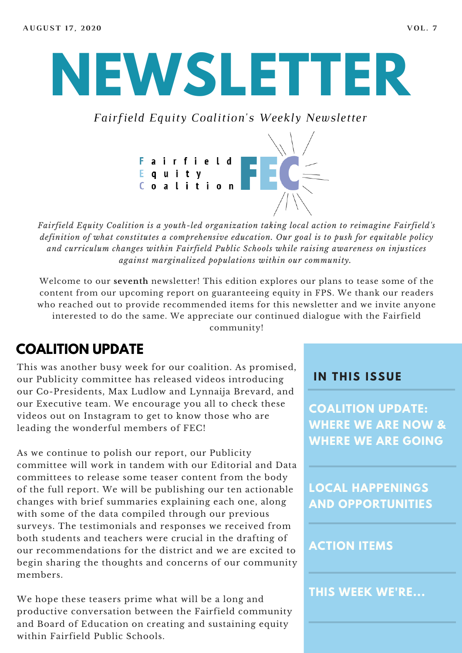# **NEWSLETTER**

*Fairfield Equity Coalition's Weekly Newsletter*



*Fairfield Equity Coalition is a youth-led organization taking local action to reimagine Fairfield's definition of what constitutes a comprehensive education. Our goal is to push for equitable policy and curriculum changes within Fairfield Public Schools while raising awareness on injustices against marginalized populations within our community.*

Welcome to our **seventh** newsletter! This edition explores our plans to tease some of the content from our upcoming report on guaranteeing equity in FPS. We thank our readers who reached out to provide recommended items for this newsletter and we invite anyone interested to do the same. We appreciate our continued dialogue with the Fairfield community!

#### **COALITION UPDATE**

This was another busy week for our coalition. As promised, our Publicity committee has released videos introducing our Co-Presidents, Max Ludlow and Lynnaija Brevard, and our Executive team. We encourage you all to check these videos out on Instagram to get to know those who are leading the wonderful members of FEC!

As we continue to polish our report, our Publicity committee will work in tandem with our Editorial and Data committees to release some teaser content from the body of the full report. We will be publishing our ten actionable changes with brief summaries explaining each one, along with some of the data compiled through our previous surveys. The testimonials and responses we received from both students and teachers were crucial in the drafting of our recommendations for the district and we are excited to begin sharing the thoughts and concerns of our community members.

We hope these teasers prime what will be a long and productive conversation between the Fairfield community and Board of Education on creating and sustaining equity within Fairfield Public Schools.

#### **I N THIS ISSUE**

**COALITION UPDATE: WHERE WE ARE NOW & WHERE WE ARE GOING**

**LOCAL HAPPENINGS AND OPPORTUNITIES**

#### **ACTION ITEMS**

**THIS WEEK WE'RE...**